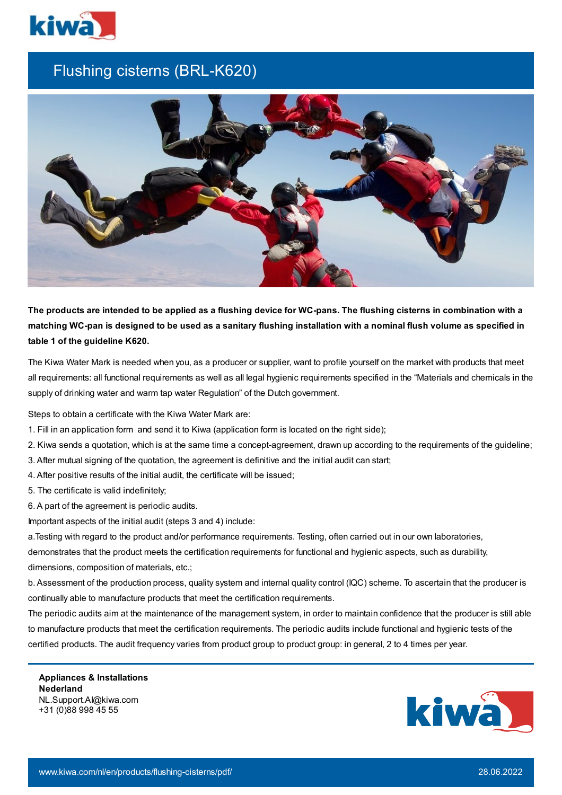

## Flushing cisterns (BRL-K620)



The products are intended to be applied as a flushing device for WC-pans. The flushing cisterns in combination with a matching WC-pan is designed to be used as a sanitary flushing installation with a nominal flush volume as specified in **table 1 of the guideline K620.**

The Kiwa Water Mark is needed when you, as a producer or supplier, want to profile yourself on the market with products that meet all requirements: all functional requirements as well as all legal hygienic requirements specified in the "Materials and chemicals in the supply of drinking water and warm tap water Regulation" of the Dutch government.

Steps to obtain a certificate with the Kiwa Water Mark are:

- 1. Fill in an application form and send it to Kiwa (application form is located on the right side);
- 2. Kiwa sends a quotation, which is at the same time a concept-agreement, drawn up according to the requirements of the guideline;
- 3. After mutual signing of the quotation, the agreement is definitive and the initial audit can start;
- 4. After positive results of the initial audit, the certificate will be issued;
- 5. The certificate is valid indefinitely;
- 6. A part of the agreement is periodic audits.

Important aspects of the initial audit (steps 3 and 4) include:

a.Testing with regard to the product and/or performance requirements. Testing, often carried out in our own laboratories, demonstrates that the product meets the certification requirements for functional and hygienic aspects, such as durability, dimensions, composition of materials, etc.;

b. Assessment of the production process, quality system and internal quality control (IQC) scheme. To ascertain that the producer is continually able to manufacture products that meet the certification requirements.

The periodic audits aim at the maintenance of the management system, in order to maintain confidence that the producer is still able to manufacture products that meet the certification requirements. The periodic audits include functional and hygienic tests of the certified products. The audit frequency varies from product group to product group: in general, 2 to 4 times per year.

**Appliances & Installations Nederland** NL.Support.AI@kiwa.com +31 (0)88 998 45 55